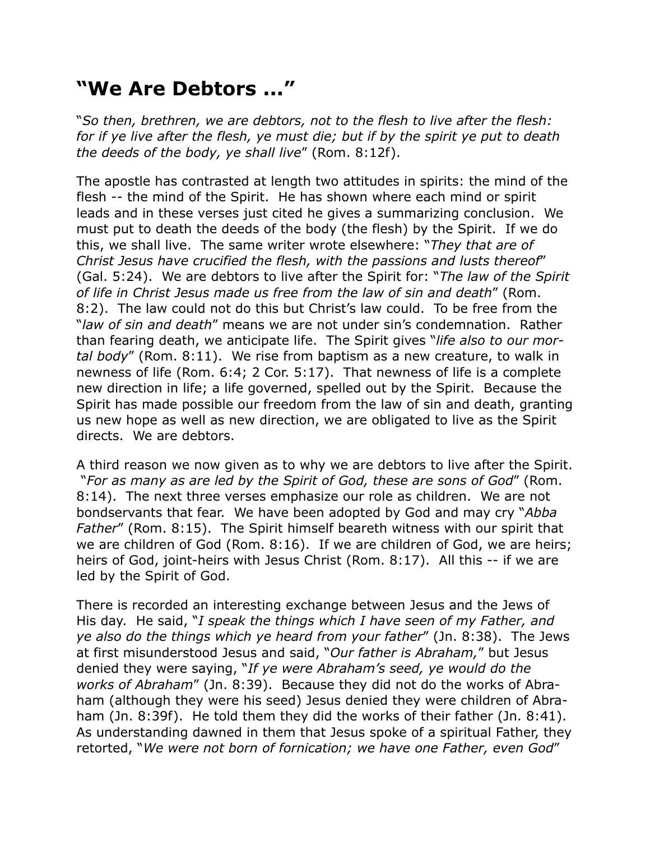## **"We Are Debtors ..."**

"*So then, brethren, we are debtors, not to the flesh to live after the flesh: for if ye live after the flesh, ye must die; but if by the spirit ye put to death the deeds of the body, ye shall live*" (Rom. 8:12f).

The apostle has contrasted at length two attitudes in spirits: the mind of the flesh -- the mind of the Spirit. He has shown where each mind or spirit leads and in these verses just cited he gives a summarizing conclusion. We must put to death the deeds of the body (the flesh) by the Spirit. If we do this, we shall live. The same writer wrote elsewhere: "*They that are of Christ Jesus have crucified the flesh, with the passions and lusts thereof*" (Gal. 5:24). We are debtors to live after the Spirit for: "*The law of the Spirit of life in Christ Jesus made us free from the law of sin and death*" (Rom. 8:2). The law could not do this but Christ's law could. To be free from the "*law of sin and death*" means we are not under sin's condemnation. Rather than fearing death, we anticipate life. The Spirit gives "*life also to our mortal body*" (Rom. 8:11). We rise from baptism as a new creature, to walk in newness of life (Rom. 6:4; 2 Cor. 5:17). That newness of life is a complete new direction in life; a life governed, spelled out by the Spirit. Because the Spirit has made possible our freedom from the law of sin and death, granting us new hope as well as new direction, we are obligated to live as the Spirit directs. We are debtors.

A third reason we now given as to why we are debtors to live after the Spirit. "*For as many as are led by the Spirit of God, these are sons of God*" (Rom. 8:14). The next three verses emphasize our role as children. We are not bondservants that fear. We have been adopted by God and may cry "*Abba Father*" (Rom. 8:15). The Spirit himself beareth witness with our spirit that we are children of God (Rom. 8:16). If we are children of God, we are heirs; heirs of God, joint-heirs with Jesus Christ (Rom. 8:17). All this -- if we are led by the Spirit of God.

There is recorded an interesting exchange between Jesus and the Jews of His day. He said, "*I speak the things which I have seen of my Father, and ye also do the things which ye heard from your father*" (Jn. 8:38). The Jews at first misunderstood Jesus and said, "*Our father is Abraham,*" but Jesus denied they were saying, "*If ye were Abraham's seed, ye would do the works of Abraham*" (Jn. 8:39). Because they did not do the works of Abraham (although they were his seed) Jesus denied they were children of Abraham (Jn. 8:39f). He told them they did the works of their father (Jn. 8:41). As understanding dawned in them that Jesus spoke of a spiritual Father, they retorted, "*We were not born of fornication; we have one Father, even God*"